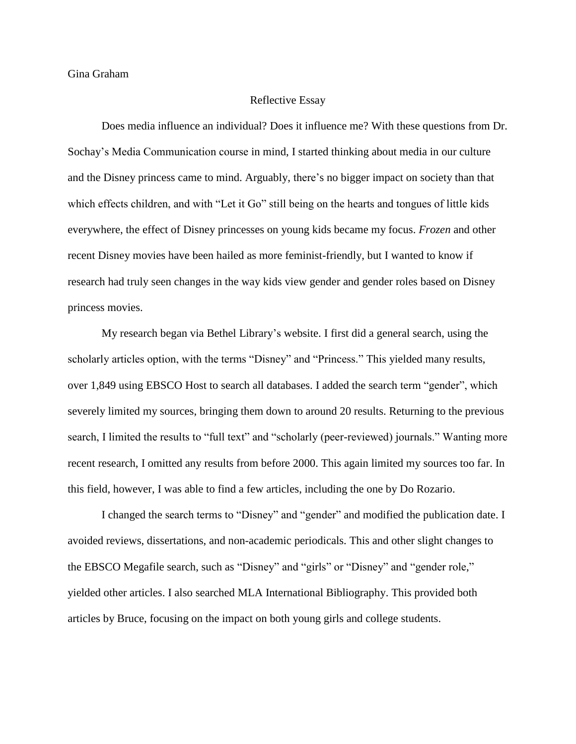Gina Graham

## Reflective Essay

Does media influence an individual? Does it influence me? With these questions from Dr. Sochay's Media Communication course in mind, I started thinking about media in our culture and the Disney princess came to mind. Arguably, there's no bigger impact on society than that which effects children, and with "Let it Go" still being on the hearts and tongues of little kids everywhere, the effect of Disney princesses on young kids became my focus. *Frozen* and other recent Disney movies have been hailed as more feminist-friendly, but I wanted to know if research had truly seen changes in the way kids view gender and gender roles based on Disney princess movies.

My research began via Bethel Library's website. I first did a general search, using the scholarly articles option, with the terms "Disney" and "Princess." This yielded many results, over 1,849 using EBSCO Host to search all databases. I added the search term "gender", which severely limited my sources, bringing them down to around 20 results. Returning to the previous search, I limited the results to "full text" and "scholarly (peer-reviewed) journals." Wanting more recent research, I omitted any results from before 2000. This again limited my sources too far. In this field, however, I was able to find a few articles, including the one by Do Rozario.

I changed the search terms to "Disney" and "gender" and modified the publication date. I avoided reviews, dissertations, and non-academic periodicals. This and other slight changes to the EBSCO Megafile search, such as "Disney" and "girls" or "Disney" and "gender role," yielded other articles. I also searched MLA International Bibliography. This provided both articles by Bruce, focusing on the impact on both young girls and college students.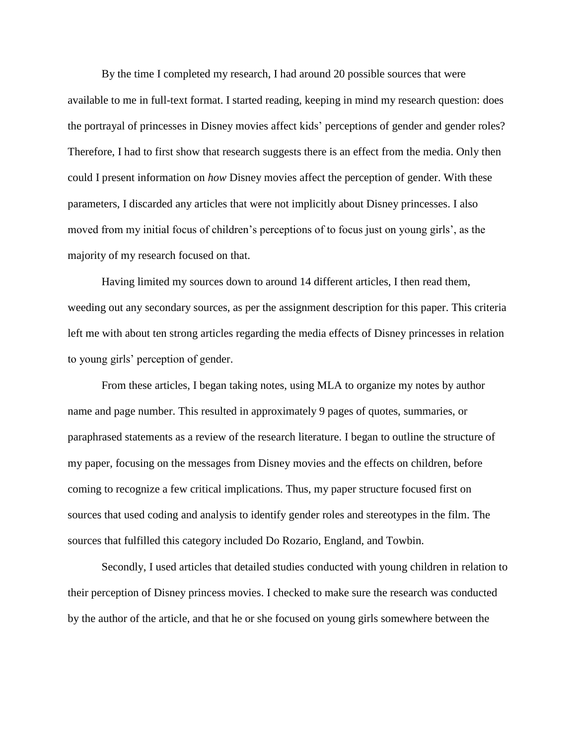By the time I completed my research, I had around 20 possible sources that were available to me in full-text format. I started reading, keeping in mind my research question: does the portrayal of princesses in Disney movies affect kids' perceptions of gender and gender roles? Therefore, I had to first show that research suggests there is an effect from the media. Only then could I present information on *how* Disney movies affect the perception of gender. With these parameters, I discarded any articles that were not implicitly about Disney princesses. I also moved from my initial focus of children's perceptions of to focus just on young girls', as the majority of my research focused on that.

Having limited my sources down to around 14 different articles, I then read them, weeding out any secondary sources, as per the assignment description for this paper. This criteria left me with about ten strong articles regarding the media effects of Disney princesses in relation to young girls' perception of gender.

From these articles, I began taking notes, using MLA to organize my notes by author name and page number. This resulted in approximately 9 pages of quotes, summaries, or paraphrased statements as a review of the research literature. I began to outline the structure of my paper, focusing on the messages from Disney movies and the effects on children, before coming to recognize a few critical implications. Thus, my paper structure focused first on sources that used coding and analysis to identify gender roles and stereotypes in the film. The sources that fulfilled this category included Do Rozario, England, and Towbin.

Secondly, I used articles that detailed studies conducted with young children in relation to their perception of Disney princess movies. I checked to make sure the research was conducted by the author of the article, and that he or she focused on young girls somewhere between the